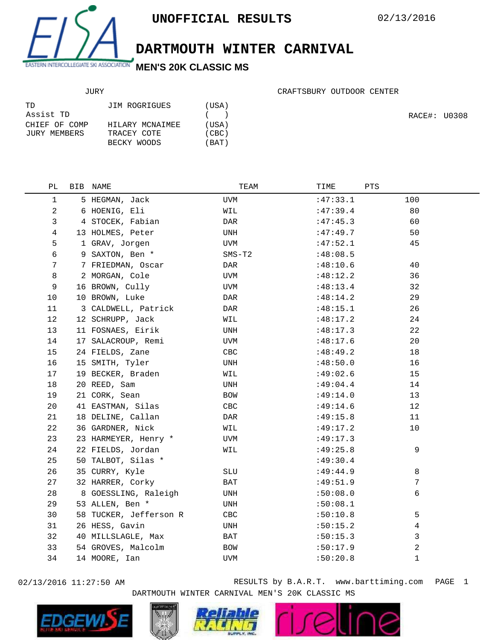

**DARTMOUTH WINTER CARNIVAL**

## JURY

| TD.           | JIM ROGRIGUES   | (USA) |
|---------------|-----------------|-------|
| Assist TD     |                 | (     |
| CHIEF OF COMP | HILARY MCNAIMEE | (USA) |
| JURY MEMBERS  | TRACEY COTE     | (CBC) |
|               | BECKY WOODS     | (BAT) |

CRAFTSBURY OUTDOOR CENTER

RACE#: U0308

| PЬ           | BIB NAME               | TEAM       | TIME     | PTS |
|--------------|------------------------|------------|----------|-----|
| $\mathbf{1}$ | 5 HEGMAN, Jack         | UVM        | :47:33.1 | 100 |
| 2            | 6 HOENIG, Eli          | WIL        | :47:39.4 | 80  |
| 3            | 4 STOCEK, Fabian       | DAR        | :47:45.3 | 60  |
| 4            | 13 HOLMES, Peter       | UNH        | :47:49.7 | 50  |
| 5            | 1 GRAV, Jorgen         | UVM        | :47:52.1 | 45  |
| 6            | 9 SAXTON, Ben *        | $SMS-T2$   | :48:08.5 |     |
| 7            | 7 FRIEDMAN, Oscar      | DAR        | :48:10.6 | 40  |
| 8            | 2 MORGAN, Cole         | <b>UVM</b> | :48:12.2 | 36  |
| 9            | 16 BROWN, Cully        | UVM        | :48:13.4 | 32  |
| 10           | 10 BROWN, Luke         | DAR        | :48:14.2 | 29  |
| 11           | 3 CALDWELL, Patrick    | DAR        | :48:15.1 | 26  |
| 12           | 12 SCHRUPP, Jack       | WIL        | :48:17.2 | 24  |
| 13           | 11 FOSNAES, Eirik      | UNH        | :48:17.3 | 22  |
| 14           | 17 SALACROUP, Remi     | UVM        | :48:17.6 | 20  |
| 15           | 24 FIELDS, Zane        | CBC        | :48:49.2 | 18  |
| 16           | 15 SMITH, Tyler        | UNH        | :48:50.0 | 16  |
| 17           | 19 BECKER, Braden      | WIL        | :49:02.6 | 15  |
| 18           | 20 REED, Sam           | UNH        | :49:04.4 | 14  |
| 19           | 21 CORK, Sean          | BOW        | :49:14.0 | 13  |
| 20           | 41 EASTMAN, Silas      | CBC        | :49:14.6 | 12  |
| 21           | 18 DELINE, Callan      | DAR        | :49:15.8 | 11  |
| 22           | 36 GARDNER, Nick       | WIL        | :49:17.2 | 10  |
| 23           | 23 HARMEYER, Henry *   | UVM        | :49:17.3 |     |
| 24           | 22 FIELDS, Jordan      | WIL        | :49:25.8 | 9   |
| 25           | 50 TALBOT, Silas *     |            | :49:30.4 |     |
| 26           | 35 CURRY, Kyle         | SLU        | :49:44.9 | 8   |
| 27           | 32 HARRER, Corky       | BAT        | :49:51.9 | 7   |
| 28           | 8 GOESSLING, Raleigh   | UNH        | :50:08.0 | 6   |
| 29           | 53 ALLEN, Ben *        | UNH        | :50:08.1 |     |
| 30           | 58 TUCKER, Jefferson R | CBC        | :50:10.8 | 5   |
| 31           | 26 HESS, Gavin         | UNH        | :50:15.2 | 4   |
| 32           | 40 MILLSLAGLE, Max     | BAT        | :50:15.3 | 3   |
| 33           | 54 GROVES, Malcolm     | BOW        | :50:17.9 | 2   |
| 34           | 14 MOORE, Ian          | UVM        | :50:20.8 | 1   |
|              |                        |            |          |     |

02/13/2016 11:27:50 AM RESULTS by B.A.R.T. www.barttiming.com PAGE 1 DARTMOUTH WINTER CARNIVAL MEN'S 20K CLASSIC MS







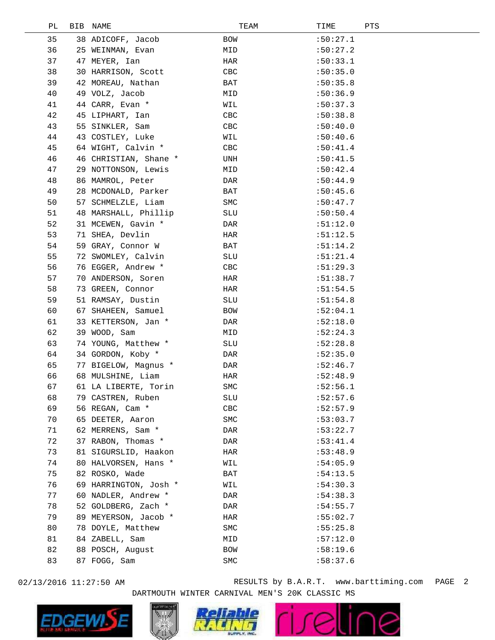| РL | BIB | NAME                  | TEAM | TIME     | PTS |
|----|-----|-----------------------|------|----------|-----|
| 35 |     | 38 ADICOFF, Jacob     | BOW  | :50:27.1 |     |
| 36 |     | 25 WEINMAN, Evan      | MID  | :50:27.2 |     |
| 37 |     | 47 MEYER, Ian         | HAR  | :50:33.1 |     |
| 38 |     | 30 HARRISON, Scott    | CBC  | :50:35.0 |     |
| 39 |     | 42 MOREAU, Nathan     | BAT  | :50:35.8 |     |
| 40 |     | 49 VOLZ, Jacob        | MID  | :50:36.9 |     |
| 41 |     | 44 CARR, Evan *       | WIL  | :50:37.3 |     |
| 42 |     | 45 LIPHART, Ian       | CBC  | :50:38.8 |     |
| 43 |     | 55 SINKLER, Sam       | CBC  | :50:40.0 |     |
| 44 |     | 43 COSTLEY, Luke      | WIL  | :50:40.6 |     |
| 45 |     | 64 WIGHT, Calvin *    | CBC  | :50:41.4 |     |
| 46 |     | 46 CHRISTIAN, Shane * | UNH  | :50:41.5 |     |
| 47 |     | 29 NOTTONSON, Lewis   | MID  | :50:42.4 |     |
| 48 |     | 86 MAMROL, Peter      | DAR  | :50:44.9 |     |
| 49 |     | 28 MCDONALD, Parker   | BAT  | :50:45.6 |     |
| 50 |     | 57 SCHMELZLE, Liam    | SMC  | :50:47.7 |     |
| 51 |     | 48 MARSHALL, Phillip  | SLU  | :50:50.4 |     |
| 52 |     | 31 MCEWEN, Gavin *    | DAR  | :51:12.0 |     |
| 53 |     | 71 SHEA, Devlin       | HAR  | :51:12.5 |     |
| 54 |     | 59 GRAY, Connor W     | BAT  | :51:14.2 |     |
| 55 |     | 72 SWOMLEY, Calvin    | SLU  | :51:21.4 |     |
| 56 |     | 76 EGGER, Andrew *    | CBC  | :51:29.3 |     |
| 57 |     | 70 ANDERSON, Soren    | HAR  | :51:38.7 |     |
| 58 |     | 73 GREEN, Connor      | HAR  | :51:54.5 |     |
| 59 |     | 51 RAMSAY, Dustin     | SLU  | :51:54.8 |     |
| 60 |     | 67 SHAHEEN, Samuel    | BOW  | :52:04.1 |     |
| 61 |     | 33 KETTERSON, Jan *   | DAR  | :52:18.0 |     |
| 62 |     | 39 WOOD, Sam          | MID  | :52:24.3 |     |
| 63 |     | 74 YOUNG, Matthew *   | SLU  | :52:28.8 |     |
| 64 |     | 34 GORDON, Koby *     | DAR  | :52:35.0 |     |
| 65 |     | 77 BIGELOW, Magnus *  | DAR  | :52:46.7 |     |
| 66 |     | 68 MULSHINE, Liam     | HAR  | :52:48.9 |     |
| 67 |     | 61 LA LIBERTE, Torin  | SMC  | :52:56.1 |     |
| 68 |     | 79 CASTREN, Ruben     | SLU  | :52:57.6 |     |
| 69 |     | 56 REGAN, Cam *       | CBC  | :52:57.9 |     |
| 70 |     | 65 DEETER, Aaron      | SMC  | :53:03.7 |     |
| 71 |     | 62 MERRENS, Sam *     | DAR  | :53:22.7 |     |
| 72 |     | 37 RABON, Thomas *    | DAR  | :53:41.4 |     |
| 73 |     | 81 SIGURSLID, Haakon  | HAR  | :53:48.9 |     |
| 74 |     | 80 HALVORSEN, Hans *  | WIL  | :54:05.9 |     |
| 75 |     | 82 ROSKO, Wade        | BAT  | :54:13.5 |     |
| 76 |     | 69 HARRINGTON, Josh * | WIL  | :54:30.3 |     |
| 77 |     | 60 NADLER, Andrew *   | DAR  | :54:38.3 |     |
| 78 |     | 52 GOLDBERG, Zach *   | DAR  | :54:55.7 |     |
| 79 |     | 89 MEYERSON, Jacob *  | HAR  | :55:02.7 |     |
| 80 |     | 78 DOYLE, Matthew     | SMC  | :55:25.8 |     |
| 81 |     | 84 ZABELL, Sam        | MID  | :57:12.0 |     |
| 82 |     | 88 POSCH, August      | BOW  | :58:19.6 |     |
| 83 |     | 87 FOGG, Sam          | SMC  | :58:37.6 |     |
|    |     |                       |      |          |     |

02/13/2016 11:27:50 AM RESULTS by B.A.R.T. www.barttiming.com PAGE 2 DARTMOUTH WINTER CARNIVAL MEN'S 20K CLASSIC MS